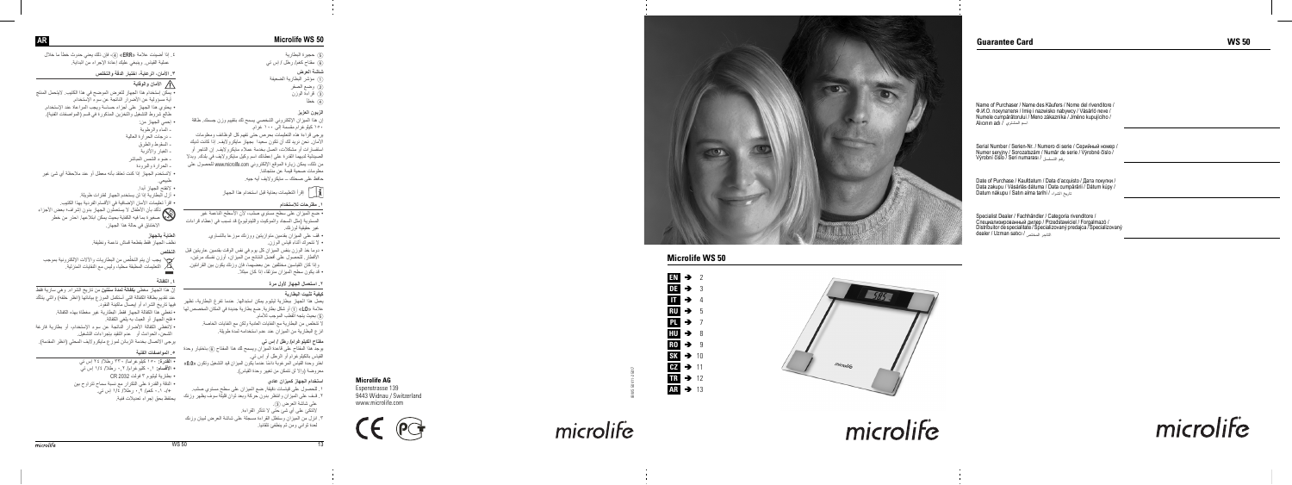# **Guarantee Card**

# **Microlife WS 50 EN** 2 **DE** 3

# **AR Microlife WS 50**

- G) حجبر ة البطار بة 6) مفتاح كغم/ رطل / إس تبي
- شاشة العرض (1) مؤشر البطارية الضعيفة 2) وضع الصفر
- 3) قراءة الوزن  $\overline{6}$  خطأ

#### ا**لزيون العزيز**

إن هذا الميزان الإلكتروني الشخصي يسمح لك بتقييم وزن جسمك. طاقة

۱۵۰ کېلو غږ ام مقسمة الي ۱۰۰ غږ ام يرجى قراءة هذه التعليمات بحرص حتى تفهم كل الوظائف ومعلومات .<br>الأمان ِ نحن نر يد لك أن تكون سعيدا بجهاز مايكر و لايف إذا كانت لديك استفسار ات اً مشکلات، اتصل بخدمة عملاء مابکر و لايف اِن التاجر ً او الصيدلية لديهما القدر ة على إعطائك اسم وكيل مايكر ولايف في بلدك. وبدلا من ذلك، يمكن زيارة الموقع الإلكتروني www.microlife.com للحصول على معلو مات صحبة قيمة عن منتجاتنا

حافظ على صحتك – مايكر والإيف أيه حيه

**اً أ**بِّ إقرأ التعليمات بعناية قبل استخدام هذا الجهاز

#### . مف*تر ح*ات للاستخدام

- ضبع الميز ان على سطح مستوى صلب، لأن الأسطح الناعمة غير المستوية (مثل السجاد والموكيت واللينوليوم) قد تسبّب في إعطاء قراءات غبر حقيقية لوزنك
	- ه قف علي الميزان بقدمين متوازيتين ووزنك موزعا بالتساوي. و لا تتحرك أثناء قباس الوزن.
- دوما خذ الوزن بنفس الميزان كل يوم في نفس الوقت بقدمين عاريتين قبل الأفطار ِ للحصول على أفضل النتائج من الميزان، أوزن نفسك مرتين، وإذا كان القياسين مختلفين عن بعضهما، فإن وزنك يكون بين القرائتين. • قد يكون سطح الميزان منزلقا، إذا كان مبللا

#### ۲ ـ استعمال الجهاز لأول مرة

#### كيفية تثبي*ت* البطارية

بعمل هذا الجهاز ابيطارية لبثبوم بمكن استبدالها عندما تفرغ البطارية، تظهر علامة «LO) (1) أو شكل بطارية. ضع بطارية جديدة في المكان المخصص لها (5) بحيث يتجه القطب الموجب للامام. \ تتخلص من البطارية مع النفايات العادية ولكن مع النفايات الخاصة.

انزع البطارية من الميزان عند عدم استخدامه لمدة طويلة.

#### مفتاح الكيلوغرام**/** رطل / إس ت*ي*

بوجد هذا المفتاح على قاعدة الميزان ويسمح لك هذا المفتاح @ باختيار وحدة القياس بالكيلوغرام أو الرطل أو إس تي. اختر وحدة القباس المرغوبة دائمًا عندما بكون المبزان قبد التشغيل وتكون «0.0» معروضة (وإلا لن تتمكن من تغيير وحدة القياس).

#### ا**ستخدام الجهاز كميزان عاد**ى

- ر للحصول على قياسات دقيقة. ضع الميز ان على سطح مستوى صلب. ٬ قـف على الميزان وانتظر بدون حركة وبعد ثوان قليلّة سوف يظهر وزنك على شاشة العرض (3).
	- لانتكئ على أي شئ حتى لا نتأثر القراءة.
- ۱. انزل من الميزان وستظل القراءة مسجلة على شاشة العرض لبيان وزنك لعدة ثو اني و من ثم ينطفئ تلقائيا.

#### ٤. إذا أضيئت علامة «**ERR»** @i)، فإن ذلك يعني حدوث خطأ ما خلال عملية القياس وينبغي عليك إعادة الإجراء من البداية

# ۲ ـ الأما*ن*، الرعاية، اختبار الدقة والتخلص

#### **A** الأمان والوقاية

- يمكن إستخدام هذا الجهاز للغرض الموضح في هذا الكتيب. لايتحمل المنتج
- أبة مسؤولية عن الأضر ار الناتجة عن سوء الأستخدام.
- ، يحتوي هذا الجهاز على أجزاء حساسة ويجب المراعاة عند الإستخدام طالع شروط التشغيل والتخزين المذكورة في قسم (المواصفات الفنية)
	- إحمى الجهاز من:
		- ـ المعاء والرطوبة
		- درجات الحرارة العالية
		-
		- السقوط والطرق
		- الغبار والأنربة - ضوء الشمس المباشر
		- الحرارة والبرودة
- لاتستخدم الجهاز إذا كنت تعتقد بأنه معطل أو عند ملاحظة أي شئ غير طبيعي.
	- .<br>• لاتفتح الجهاز أبدا
	- أز ل البطار ية إذا لن يستخدم الجهاز لفتر ات طويلة.
	- اقرأ تعليمات الأمان الإضافية في الأقسام الفردية بهذا الكتيب.
- تاكد بان الاطفال لا يستعملون الجهاز بدون إشراف؛ بعض الاجزاء صغير ة بما فيه الكفاية بحيث يمكن ابتلاعها. احذر من خطر ۔<br>الاختناق في حالة هذا الجهاز

#### ا**لعن**اية بالجهاز

سُحَــدٍ \*<br>نظف الـجهاز فقط بقطعة قماش نـاعمة ونظيفة

# ا**لتخلص**

يجب ان يتم التخلص من البطاريات والالات الإلكترونية بموجب ˷ لأله/ التعليمات المطبقة محليا، وليس مع النفايات المنزلية

# الكفالة

إنّ هذا الجهاز مغطي **بكفالة لمدة سنتين** من تاريخ الشراء. وهي سارية فقط عند تقديم بطاقة الكفالة التي أستكمل الموز ع بياناتها (انظر خلفه)ً و التي يتأكّد فيها تاريخ الشراء أو إيصال ماكينة النقود ً

• تغطي هذا الكفالة الجهاز فقط. البطارية غير مغطاة بهذه الكفالة. • فتح الجهاز أو العبث به بلغي الكفالة.

• لاتَّغطي الكفالة الأضر ار الَّناتجة عن سوء الإستخدام، أو بطارية فار غة الشحن، الحوادث أو حدم التقيد بإجر اءات التشغيل.

يرجى الاتصال بخدمة الزبائن لموزع مايكرولايف المحلي (انظر المقدمة).

# ء <sub>ـ</sub> المو اصفات الفنية

- **القدرة: ١٥٠ كيل**وغر اما/ ٣٣٠ رطلا/ ٢٤ اس تبي **۰ الأقسام: ۰٫۱** كليوغرام/ ۰٫۲ رطلا/ ۱/٤ اس تبي • بطارية ليثيوم ٣ فولت CR 2032 • الدقة والقدرة على التكرار مع نسبة سماح تتراوح بين +/- ۰٫۱ کغم/ ۲ . رطلا/ ۱/٤ اس تي
	- ِي الحَقظ بحق الحر<sup>ا</sup>ء تعديلات فنية.

Name of Purchaser / Name des Käufers / Nome del rivenditore / Ф.И.О. покупателя / Imię i nazwisko nabywcy / Vásárló neve / Numele cumpărătorului / Meno zákazníka / Jméno kupujícího / اسم المشتري <sup>'</sup>/ Alıcının adı

**Microlife AG** Espenstrasse 139 9443 Widnau / Switzerland





# IB WS 50 V11-2 5017

# microlife

Serial Number / Serien-Nr. / Numero di serie / Серийный номер / Numer seryjny / Sorozatszám / Num ăr de serie / Výrobné číslo / Výrobní číslo / Seri numaras رقم التسلسل / ı

Date of Purchase / Kaufdatum / Data d'acquisto / Дата покупки / Data zakupu / Vásárlás dátuma / Data cump ă r ării / Dátum kúpy / Datum nákupu / Sat ın alma tarihi / الشراء تاريخ

Specialist Dealer / Fachhändler / Categoria rivenditore / Специализированный дилер / Przedstawiciel / Forgalmazó / Distribuitor de specialitate / Špecializovaný predajca / Specializovaný dealer / Uzman sat ı c التاجر المختص / ı



# microlife

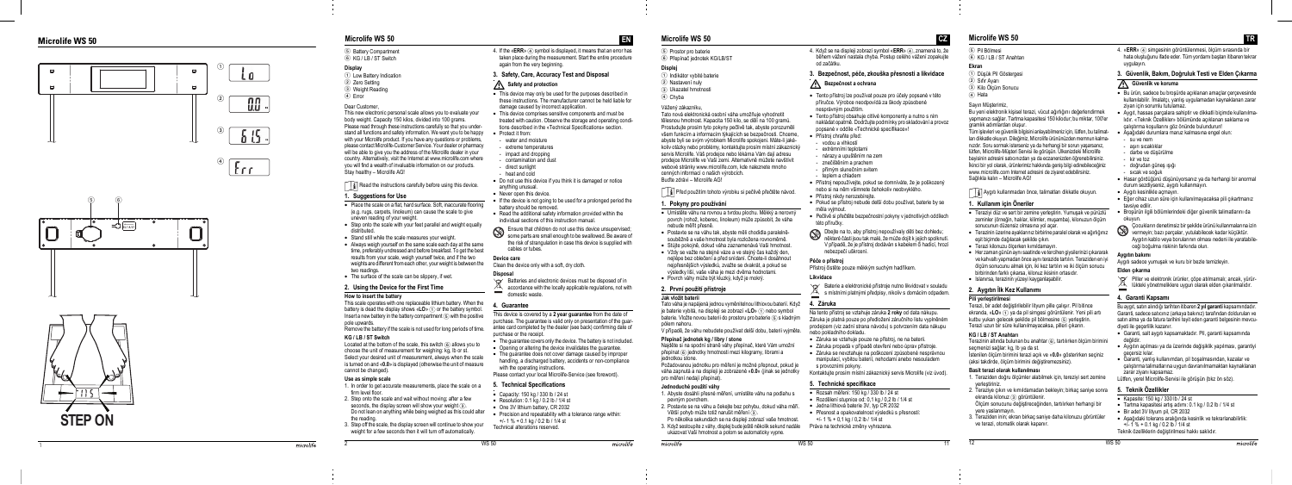

1

# i o



# **Microlife WS 50 Microlife WS 50**



5 Battery Compartment 6 KG / LB / ST Switch

**Display**

1 Low Battery Indication 2) Zero Setting 3 Weight Reading  $\overline{4}$  Error Dear Customer,

This new electronic personal scale allows you to evaluate your body weight. Capacity 150 kilos, divided into 100 grams. Please read through these instructions carefully so that you understand all functions and safety information. We want you to be happy with your Microlife product. If you have any questions or problems, please contact Microlife-Customer Service. Your dealer or pharmacy will be able to give you the address of the Microlife dealer in your country. Alternatively, visit the Internet at www.microlife.com where you will find a wealth of invaluable information on our products.

#### $\lceil \cdot \rceil$  Read the instructions carefully before using this device. **1. Suggestions for Use** • Place the scale on a flat, hard surface. Soft, inaccurate flooring (e.g. rugs, carpets, linoleum) can cause the scale to give uneven reading of your weight.

•<br>• • Step onto the scale with your feet parallel and weight equally distributed.

- Stand still while the scale measures your weight.
- •• Always weigh yourself on the same scale each day at the same time, preferably undressed and before breakfast. To get the best results from your scale, weigh yourself twice, and if the two weights are different from each other, your weight is between the two readings.
- The surface of the scale can be slippery, if wet.

Stay healthy – Microlife AG!

Located at the bottom of the scale, this switch  $\circledcirc$  allows you to choose the unit of measurement for weighing: kg, lb or st. Select your desired unit of measurement, always when the scale is turned on and «**0.0**» is displayed (otherwise the unit of measure cannot be changed).

#### 4. If the «**ERR**» (4) symbol is displayed, it means that an error has taken place during the measurement. Start the entire procedure again from the very beginning.

#### **2. Using the Device for the First Time**

#### **How to insert the battery**

This scale operates with one replaceable lithium battery. When the battery is dead the display shows «LO» (1) or the battery symbol. Insert a new battery in the battery compartment  $\circledcirc$  with the positive pole upwards.

- This device may only be used for the purposes described in these instructions. The manufacturer cannot be held liable for damage caused by incorrect application.
- This device comprises sensitive components and must be tions described in the «Technical Specifications» section. • Protect it from:
- water and moisture
- extreme temperatures
- 
- 
- 
- 
- 
- Never open this device.
- If the device is not going to be used for a prolonged period the battery should be removed.
- Read the additional safety information provided within the individual sections of this instruction manual.

Remove the battery if the scale is not used for long periods of time.

#### **KG / LB / ST Switch**

#### **Use as simple scale**

- Capacity: 150 kg / 330 lb / 24 st
- Resolution:  $0.1$  kg  $/0.2$  lb  $/1/4$  st
- One 3V lithium battery, CR 2032
- 
- 

 $WS<sub>50</sub>$ 

microlife

- 1. In order to get accurate measurements, place the scale on a firm level floor.
- 2. Step onto the scale and wait without moving; after a few seconds, the display screen will show your weight 3. Do not lean on anything while being weighed as this could alter the reading.

2 WS 5

3. Step off the scale, the display screen will continue to show your weight for a few seconds then it will turn off automatically.

#### **3. Safety, Care, Accuracy Test and Disposal**

# **A** Safety and protection

- treated with caution. Observe the storage and operating condi-
- 
- 
- impact and dropping
- contamination and dust
- direct sunlight
- heat and cold
- Do not use this device if you think it is damaged or notice anything unusual.
- 
- 
- 

Ensure that children do not use this device unsupervised; some parts are small enough to be swallowed. Be aware of the risk of strangulation in case this device is supplied with

cables or tubes.

#### **Device care**

Clean the device only with a soft, dry cloth.

#### **Disposal**

Batteries and electronic devices must be disposed of in

• P řístroj chra ňte p řed: - vodou a vlhkostí - extrémními teplotami - nárazy a upušt ěním na zem - zne čišt ěním a prachem - p římým slune čním svitem teplem a chladem

- 
- accordance with the locally applicable regulations, not with domestic waste.

# **4. Guarantee**

This device is covered by a **2 year guarantee** from the date of purchase. The guarantee is valid only on presentation of the guarantee card completed by the dealer (see back) confirming date of

- The quarantee covers only the device. The battery is not included.
- Opening or altering the device invalidates the guarantee.
- handling, a discharged battery, accidents or non-compliance with the operating instructions.

Dbejte na to, aby p řístroj nepoužívaly d ěti bez dohledu; n ěkteré části jsou tak malé, že m ůže dojít k jejich spolknutí. V případě, že je přístroj dodáván s kabelem či hadicí, hrozí

purchase or the receipt.

- 
- 
- The quarantee does not cover damage caused by improper

Please contact your local Microlife-Service (see foreword).

#### **5. Technical Specifications**

- 
- 
- 
- Precision and repeatability with a tolerance range within:  $+/- 1 \% + 0.1$  kg  $(0.2$  lb  $(1/4)$  st
- Technical alterations reserved.

**EN**

- 5 Prostor pro baterie
- 

# 6 Přepínač jednotek KG/LB/ST

- 1) Indikátor vybité baterie 3 Ukazatel hmotnosti
- Vážený zákazníku,
- Tato nová elektronická osobní váha umož ňuje vyhodnotit t ělesnou hmotnost. Kapacita 150 kilo, se d ělí na 100 gram ů . Prostudujte prosím tyto pokyny pe čliv ě tak, abyste porozum ěli všem funkcím a informacím týkajících se bezpe čnosti. Chceme, abyste byli se svým výrobkem Microlife spokojeni. Máte-li jakékoliv otázky nebo problémy, kontaktujte prosím místní zákaznický servis Microlife. Váš prodejce nebo lékárna Vám dají adresu prodejce Microlife ve Vaší zemi. Alternativn ě m ůžete navštívit webové stránky www.microlife.com, kde naleznete mnoho cenných informací o našich výrobcích.
- Bu ďte zdrávi Microlife AG!
	- Před použitím tohoto výrobku si pečlivě přečtěte návod.

# **Displej**

4 Chyba

2 Nastavení nuly

•<br>•

Bu yeni elektronik kişisel terazi, vücut ağırlığını değerlendirmek yapman ı z ı sa ğlar. Tartma kapasitesi 150 kilodur; bu miktar, 100'er graml ık ad ımlardan olu şur.

6) Pil Bölmesi 6<br>
(6) KG / LB / ST Anahtarı<br>
20 Givin Sonucu<br>
20 Givin Sonucu<br>
20 Givin Sonucu<br>
20 Min Qiçim Sonucu<br>
30 Min Qiçim Sonucu<br>
30 Min Qiçim Sonucu<br>
4 Min Givin Sonucu<br>
4 Min Givin Sonucu<br>
4 Min Min Min Min Min M Tüm i şlevleri ve güvenlik bilgisini anlayabilmeniz için, lütfen, bu talimatları dikkatle okuyun. Dileğimiz, Microlife ürününüzden memnun kalma nızdır. Soru sormak isterseniz ya da herhangi bir sorun yaşarsanız, lütfen, Microlife-Müşteri Servisi ile görüşün. Ulkenizdeki Microlife bayisinin adresini satıcınızdan ya da eczanenizden öğrenebilirsiniz. Ikinci bir yol olarak, ürünlerimiz hakkında geniş bilgi edinebileceğiniz www.microlife.com Internet adresini de ziyaret edebilirsiniz. Sağlıkla kalın - Microlife AG! l

#### **1. Pokyny pro používání**

Terazinin altında bulunan bu anahtar 6), tartılırken ölçüm birimini l seçmenizi sa ğlar: kg, lb ya da st.

- Umíst ěte váhu na rovnou a tvrdou plochu. M ěkký a nerovný povrch (rohož, koberec, linoleum) m ůže zp ůsobit, že váha nebude měřit p řesn ě .
- Postavte se na váhu tak, abyste m ěli chodidla paraleln ě soub ěžn ě a vaše hmotnost byla rozložena rovnom ěrn ě . • St ůjte pokojn ě, dokud váha zaznamenává Vaši hmotnost. • Vždy se važte na stejné váze a ve stejný čas každý den, nejlépe bez oble čení a p řed snídaní. Chcete-li dosáhnout nejp řesn ějších výsledk ů, zvažte se dvakrát, a pokud se výsledky liší, vaše váha je mezi dv ěma hodnotami. • Povrch váhy m ůže být kluzký, když je mokrý.

4. «**ERR**» 4 simgesinin görüntülenmesi, ölçüm sırasında bir hata olu ştu ğunu ifade eder. Tüm yordam ı ba ştan itibaren tekrar uygulay ın.

# **2. První použití p řístroje**

- **Jak vložit baterii**
- Tato váha je napájená jednou vym ěnitelnou lithiovou baterií. Když je baterie vybitá, na displeji se zobrazí «**LO**» 1 nebo symbol baterie. Vložte novou baterii do prostoru pro baterie 5 s kladným pólem nahoru.
- V p řípad ě, že váhu nebudete používat delší dobu, baterii vyjm ěte.

#### **P řepína č jednotek kg / libry / stone**

- Najd ěte si na spodní stran ě váhy p řepína č, které Vám umožní p řepínat 6 jednotky hmotnosti mezi kilogramy, librami a jednotkou stone.
- Požadovanou jednotku pro měření je možné p řepnout, pokud je váha zapnutá a na displeji je zobrazené «**0.0**» (jinak se jednotky pro měření nedají p řepínat).
- Piller ve elektronik ürünler, çöpe atılmamalı; ancak, yürür-
- lükteki yönetmeliklere uygun olarak elden çıkarılmalıdır.

#### **Jednoduché použití váhy**

Bu aygıt, satın alındığı tarihten itibaren 2 yıl garanti kapsamındadır. Garanti, sadece satıcınız (arkaya bakınız) tarafından doldurulan ve sat ın alma ya da fatura tarihini teyit eden garanti belgesinin mevcudiyeti ile geçerlilik kazanır.

- 1. Abyste dosáhli p řesné měření, umíst ěte váhu na podlahu s pevným povrchem.
- 2. Postavte se na váhu a čekejte bez pohybu, dokud váha měří. Jedna lithiová baterie 3V, typ CR 2032 Větší pohyb může totiž narušit měření 3.
- 3. Když sestoupíte z váhy, displej bude ješt ě n ěkolik sekund nadále Práva na technické zm ěny vyhrazena. Po n ěkolika sekundách se na displeji zobrazí vaše hmotnost. ukazovat Vaší hmotnost a potom se automaticky vypne.

4. Když se na displeji zobrazí symbol «**ERR**» 4, znamená to, že b ěhem vážení nastala chyba. Postup celého vážení zopakujte

od za čátku.

**1** Bezpečnost a ochrana

**3. Bezpe čnost, pé če, zkouška p řesnosti a likvidace**

• Tento p řístroj lze používat pouze pro ú čely popsané v této p říru čce. Výrobce neodpovídá za škody zp ůsobené

nesprávným použitím.

• Tento p řístroj obsahuje citlivé komponenty a nutno s ním nakládat opatrn ě. Dodržujte podmínky pro skladování a provoz

popsané v oddíle «Technické specifikace»!

• P řístroj nepoužívejte, pokud se domníváte, že je poškozený nebo si na n ěm všimnete čehokoliv neobvyklého.

• P řístroj nikdy nerozebírejte.

• Pokud se p řístroj nebude delší dobu používat, baterie by se

• Pečlivě si přečtěte bezpečnostní pokyny v jednotlivých oddílech

m ěla vyjmout.

této p říru čky.

nebezpe čí uškrcení.

**Pé če o p řístroj**

P řístroj čist ěte pouze m ěkkým suchým had říkem.

**Likvidace**

Baterie a elektronické p řístroje nutno likvidovat v souladu s místními platnými p ředpisy, nikoliv s domácím odpadem.

**4. Záruka**

Na tento p řístroj se vztahuje záruka **2 roky** od data nákupu. Záruka je platná pouze po p ředložení záru čního listu vypln ěném prodejcem (viz zadní strana návodu) s potvrzením data nákupu

nebo pokladního dokladu.

• Záruka se vztahuje pouze na p řístroj, ne na baterii. • Záruka propadá v případě otevření nebo úprav přístroje. • Záruka se nevztahuje na poškození zp ůsobené nesprávnou manipulací, vybitou baterií, nehodami anebo nesouladem

s provozními pokyny.

Kontaktujte prosím místní zákaznický servis Microlife (viz úvod).

**5. Technické specifikace** • Rozsah měření: 150 kg / 330 lb / 24 st • Rozdělení stupnice od: 0,1 kg / 0,2 lb / 1/4 st • Přesnost a opakovatelnost výsledků s přesností:

+/- 1 % + 0,1 kg / 0,2 lb / 1/4 st

- 
- **Ekran**

- 1 Dü şük Pil Göstergesi 2 Sıfır Ayarı
- 3 Kilo Ölçüm Sonucu
- (4) Hata
- Say ın Mü şterimiz,

Ayg ı t ı kullanmadan önce, talimatlar ı dikkatle okuyun.

# **1. Kullan ım için Öneriler**

- Teraziyi düz ve sert bir zemine yerle ştirin. Yumu şak ve pürüzlü zeminler (örneğin, halılar, kilimler, muşamba), kilonuzun ölçüm sonucunun düzensiz olmas ına yol açar.
- Terazinin üzerine ayaklarınız birbirine paralel olarak ve ağırlığınız eşit biçimde dağılacak şekilde çıkın.
- Terazi kilonuzu ölçerken k ı m ıldamay ın.
- Her zaman günün aynı saatinde ve tercihen giysilerinizi çıkararak ve kahvalt ı yapmadan önce ayn ı terazide tart ı ın. Teraziden en iyi l ölçüm sonucunu almak için, iki kez tart ı ın ve iki ölçüm sonucu l birbirinden farklı çıkarsa, kilonuz ikisinin ortasıdır.
- Islan ırsa, terazinin yüzeyi kayganla şabilir.

# 2. Aygıtın İlk Kez Kullanımı

#### **Pili yerle ştirilmesi**

Terazi, bir adet değiştirilebilir lityum pille çalışır. Pil bitince i ekranda, «LO» (1) ya da pil simgesi görüntülenir. Yeni pili artı kutbu yukar ı gelecek şekilde pil bölmesine 5 yerle ştirin. Terazi uzun bir süre kullanılmayacaksa, pilleri çıkarın.

#### **KG / LB / ST Anahtar ı**

İstenilen ölçüm birimini terazi aç ık ve «**0.0**» gösterirken seçiniz (aksi takdirde, ölçüm birimini de ğ ştiremezsiniz). i

# **Basit terazi olarak kullan ılmas ı**

- 1. Teraziden do ğru ölçümler alabilmek için, tereziyi sert zemine yerle ştiriniz.
- 2. Teraziye çıkın ve kımıldamadan bekleyin; birkaç saniye sonra ekranda kilonuz 3 görüntülenir. Ölçüm sonucunu değiştireceğinden, tartılırken herhangi bir i l
- yere yaslanmay ın. 3. Teraziden inin; ekran birkaç saniye daha kilonuzu görüntüler ve terazi, otomatik olarak kapan ır.

#### **3. Güvenlik, Bak ım, Do ğruluk Testi ve Elden Ç ıkarma**

# **6** Güvenlik ve koruma<br> **Albu üzün sodeee** bu breef

- Bu ürün, sadece bu broşürde aç ıklanan amaçlar çerçevesinde kullanılabilir. İmalatçı, yanlış uygulamadan kaynaklanan zarar ziyan için sorumlu tutulamaz.
- Ayg ıt, hassas parçalara sahiptir ve dikkatli biçimde kullan ılmalıdır. «Teknik Özellikler» bölümünde açıklanan saklama ve çalıştırma koşullarını göz önünde bulundurun!
- A ş a ğ ıdaki durumlara maruz kalmas ına engel olun:
- su ve nem
- aşırı sıcaklıklar
- darbe ve dü şürülme
- kir ve toz
- doğrudan güneş ışığı
- s ıcak ve so ğuk
- Hasar gördü ğünü dü şünüyorsan ız ya da herhangi bir anormal durum sezdiyseniz, aygıtı kullanmayın.
- Aygıtı kesinlikle açmayın.
- E ğer cihaz uzun süre için kullan ılmayacaksa pili ç ıkartman ız tavsiye edilir.
- Bro şürün ilgili bölümlerindeki di ğer güvenlik talimatlar ı n ı da okuyun.
- Çocuklar ın denetimsiz bir şekilde ürünü kullanmalar ına izin
- vermeyin; baz ı parçalar, yutulabilecek kadar küçüktür. Aygıtın kablo veya borularının olması nedeni ile yaratabileceği boğulma riskinin farkında olun.

#### **Aygıtın bakımı**

Ayg ı t ı sadece yumu şak ve kuru bir bezle temizleyin.

#### **Elden ç ıkarma**

# **4. Garanti Kapsam ı**

- Garanti, salt aygıtı kapsamaktadır. Pil, garanti kapsamında de ğildir.
- Ayg ı t ın aç ılmas ı ya da üzerinde de ğ şiklik yap ılmas ı, garantiyi i geçersiz k ılar.
- Garanti, yanlış kullanımdan, pil boşalmasından, kazalar ve çalıştırma talimatlarına uygun davranılmamaktan kaynaklanan zarar ziyan ı kapsamaz.

Lütfen, yerel Microlife-Servisi ile görü şün (bkz ön söz).

# **5. Teknik Özellikler**

- Kapasite: 150 kg / 330 lb / 24 st
- Tartma kapasitesi artış adımı: 0.1 kg / 0.2 lb / 1/4 st
- Bir adet 3V litvum pil, CR 2032
- Aşağıdaki tolerans aralığında kesinlik ve tekrarlanabilirlik:  $+i$ - 1 % + 0.1 kg / 0.2 lb  $\ell$  1/4 st
- Teknik özelliklerin değiştirilmesi hakkı saklıdır. i

# **Microlife WS 50 TR**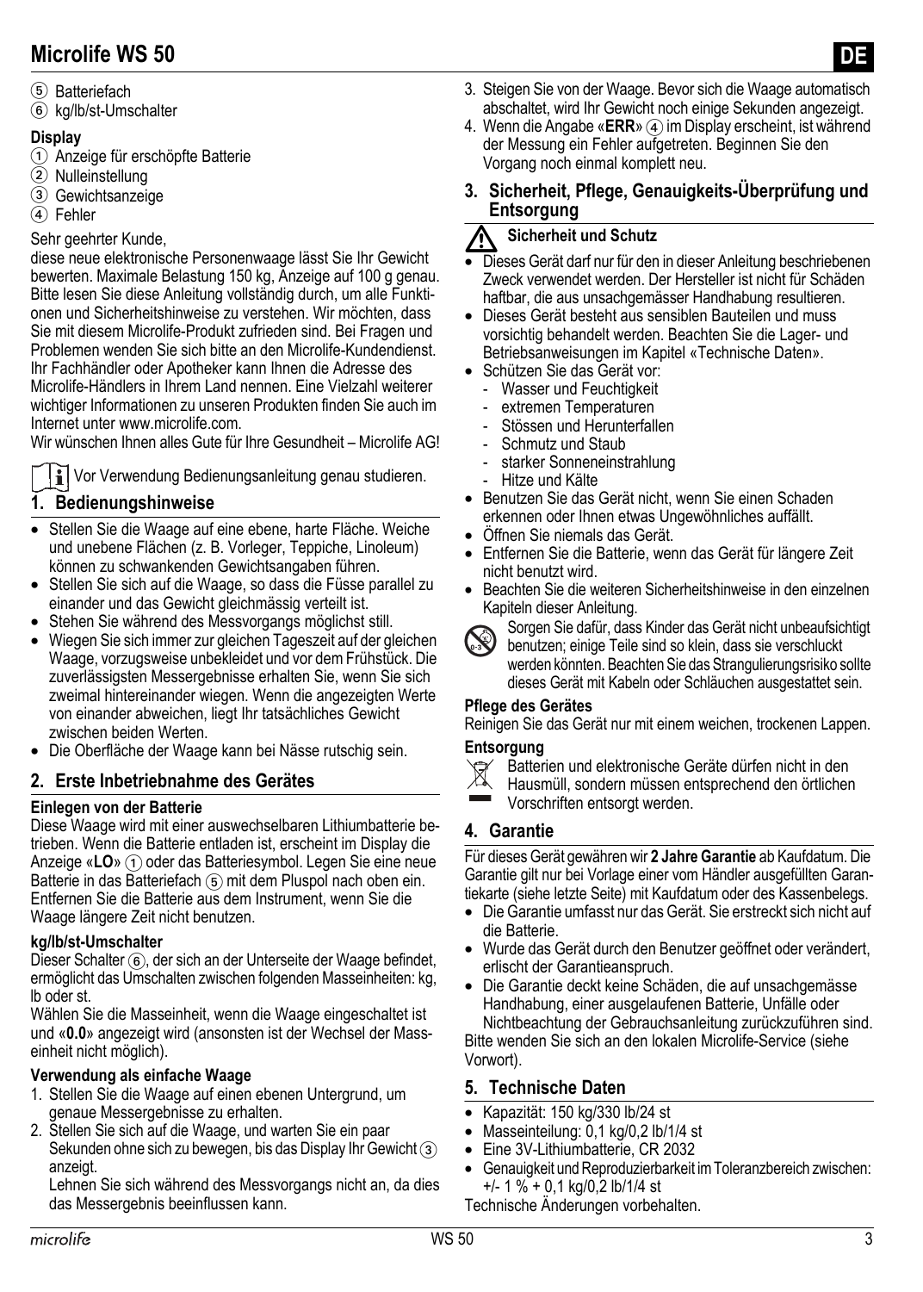#### 5 Batteriefach

6 kg/lb/st-Umschalter

#### **Display**

- 1 Anzeige für erschöpfte Batterie
- 2 Nulleinstellung
- 3 Gewichtsanzeige
- 4 Fehler

#### Sehr geehrter Kunde,

diese neue elektronische Personenwaage lässt Sie Ihr Gewicht bewerten. Maximale Belastung 150 kg, Anzeige auf 100 g genau. Bitte lesen Sie diese Anleitung vollständig durch, um alle Funktionen und Sicherheitshinweise zu verstehen. Wir möchten, dass Sie mit diesem Microlife-Produkt zufrieden sind. Bei Fragen und Problemen wenden Sie sich bitte an den Microlife-Kundendienst. Ihr Fachhändler oder Apotheker kann Ihnen die Adresse des Microlife-Händlers in Ihrem Land nennen. Eine Vielzahl weiterer wichtiger Informationen zu unseren Produkten finden Sie auch im Internet unter www.microlife.com.

Wir wünschen Ihnen alles Gute für Ihre Gesundheit – Microlife AG!

 $\mathbf{F}$  Vor Verwendung Bedienungsanleitung genau studieren.

#### **1. Bedienungshinweise**

- Stellen Sie die Waage auf eine ebene, harte Fläche. Weiche und unebene Flächen (z. B. Vorleger, Teppiche, Linoleum) können zu schwankenden Gewichtsangaben führen.
- Stellen Sie sich auf die Waage, so dass die Füsse parallel zu einander und das Gewicht gleichmässig verteilt ist.
- Stehen Sie während des Messvorgangs möglichst still.
- Wiegen Sie sich immer zur gleichen Tageszeit auf der gleichen Waage, vorzugsweise unbekleidet und vor dem Frühstück. Die zuverlässigsten Messergebnisse erhalten Sie, wenn Sie sich zweimal hintereinander wiegen. Wenn die angezeigten Werte von einander abweichen, liegt Ihr tatsächliches Gewicht zwischen beiden Werten.
- Die Oberfläche der Waage kann bei Nässe rutschig sein.

#### **2. Erste Inbetriebnahme des Gerätes**

#### **Einlegen von der Batterie**

Diese Waage wird mit einer auswechselbaren Lithiumbatterie betrieben. Wenn die Batterie entladen ist, erscheint im Display die Anzeige «LO» (1) oder das Batteriesymbol. Legen Sie eine neue Batterie in das Batteriefach (5) mit dem Pluspol nach oben ein. Entfernen Sie die Batterie aus dem Instrument, wenn Sie die Waage längere Zeit nicht benutzen.

#### **kg/lb/st-Umschalter**

Dieser Schalter (6), der sich an der Unterseite der Waage befindet, ermöglicht das Umschalten zwischen folgenden Masseinheiten: kg, lb oder st.

Wählen Sie die Masseinheit, wenn die Waage eingeschaltet ist und «**0.0**» angezeigt wird (ansonsten ist der Wechsel der Masseinheit nicht möglich).

#### **Verwendung als einfache Waage**

- 1. Stellen Sie die Waage auf einen ebenen Untergrund, um genaue Messergebnisse zu erhalten.
- 2. Stellen Sie sich auf die Waage, und warten Sie ein paar Sekunden ohne sich zu bewegen, bis das Display Ihr Gewicht 3 anzeigt.

Lehnen Sie sich während des Messvorgangs nicht an, da dies das Messergebnis beeinflussen kann.

4. Wenn die Angabe «**ERR**» (4) im Display erscheint, ist während der Messung ein Fehler aufgetreten. Beginnen Sie den Vorgang noch einmal komplett neu.

#### **3. Sicherheit, Pflege, Genauigkeits-Überprüfung und Entsorgung**

#### **Sicherheit und Schutz**

- -• Dieses Gerät darf nur für den in dieser Anleitung beschriebenen Zweck verwendet werden. Der Hersteller ist nicht für Schäden haftbar, die aus unsachgemässer Handhabung resultieren.
- Dieses Gerät besteht aus sensiblen Bauteilen und muss vorsichtig behandelt werden. Beachten Sie die Lager- und Betriebsanweisungen im Kapitel [«Technische Daten».](#page-2-0)
- Schützen Sie das Gerät vor:
	- Wasser und Feuchtigkeit
	- extremen Temperaturen
	- Stössen und Herunterfallen
	- Schmutz und Staub
	- starker Sonneneinstrahlung
	- Hitze und Kälte
- Benutzen Sie das Gerät nicht, wenn Sie einen Schaden erkennen oder Ihnen etwas Ungewöhnliches auffällt.
- Öffnen Sie niemals das Gerät.
- Entfernen Sie die Batterie, wenn das Gerät für längere Zeit nicht benutzt wird.
- Beachten Sie die weiteren Sicherheitshinweise in den einzelnen Kapiteln dieser Anleitung.



Sorgen Sie dafür, dass Kinder das Gerät nicht unbeaufsichtigt benutzen; einige Teile sind so klein, dass sie verschluckt werden könnten. Beachten Sie das Strangulierungsrisiko sollte dieses Gerät mit Kabeln oder Schläuchen ausgestattet sein.

#### **Pflege des Gerätes**

Reinigen Sie das Gerät nur mit einem weichen, trockenen Lappen.

#### **Entsorgung**

- $\cancel{R}$ Batterien und elektronische Geräte dürfen nicht in den
- Hausmüll, sondern müssen entsprechend den örtlichen
- Vorschriften entsorgt werden.

#### **4. Garantie**

Für dieses Gerät gewähren wir **2 Jahre Garantie** ab Kaufdatum. Die Garantie gilt nur bei Vorlage einer vom Händler ausgefüllten Garantiekarte (siehe letzte Seite) mit Kaufdatum oder des Kassenbelegs.

- Die Garantie umfasst nur das Gerät. Sie erstreckt sich nicht auf die Batterie.
- Wurde das Gerät durch den Benutzer geöffnet oder verändert, erlischt der Garantieanspruch.
- Die Garantie deckt keine Schäden, die auf unsachgemässe Handhabung, einer ausgelaufenen Batterie, Unfälle oder Nichtbeachtung der Gebrauchsanleitung zurückzuführen sind. Bitte wenden Sie sich an den lokalen Microlife-Service (siehe

Vorwort).

#### <span id="page-2-0"></span>**5. Technische Daten**

- Kapazität: 150 kg/330 lb/24 st
- Masseinteilung: 0,1 kg/0,2 lb/1/4 st
- Eine 3V-Lithiumbatterie, CR 2032
- Genauigkeit und Reproduzierbarkeit im Toleranzbereich zwischen: +/- 1 % + 0,1 kg/0,2 lb/1/4 st

Technische Änderungen vorbehalten.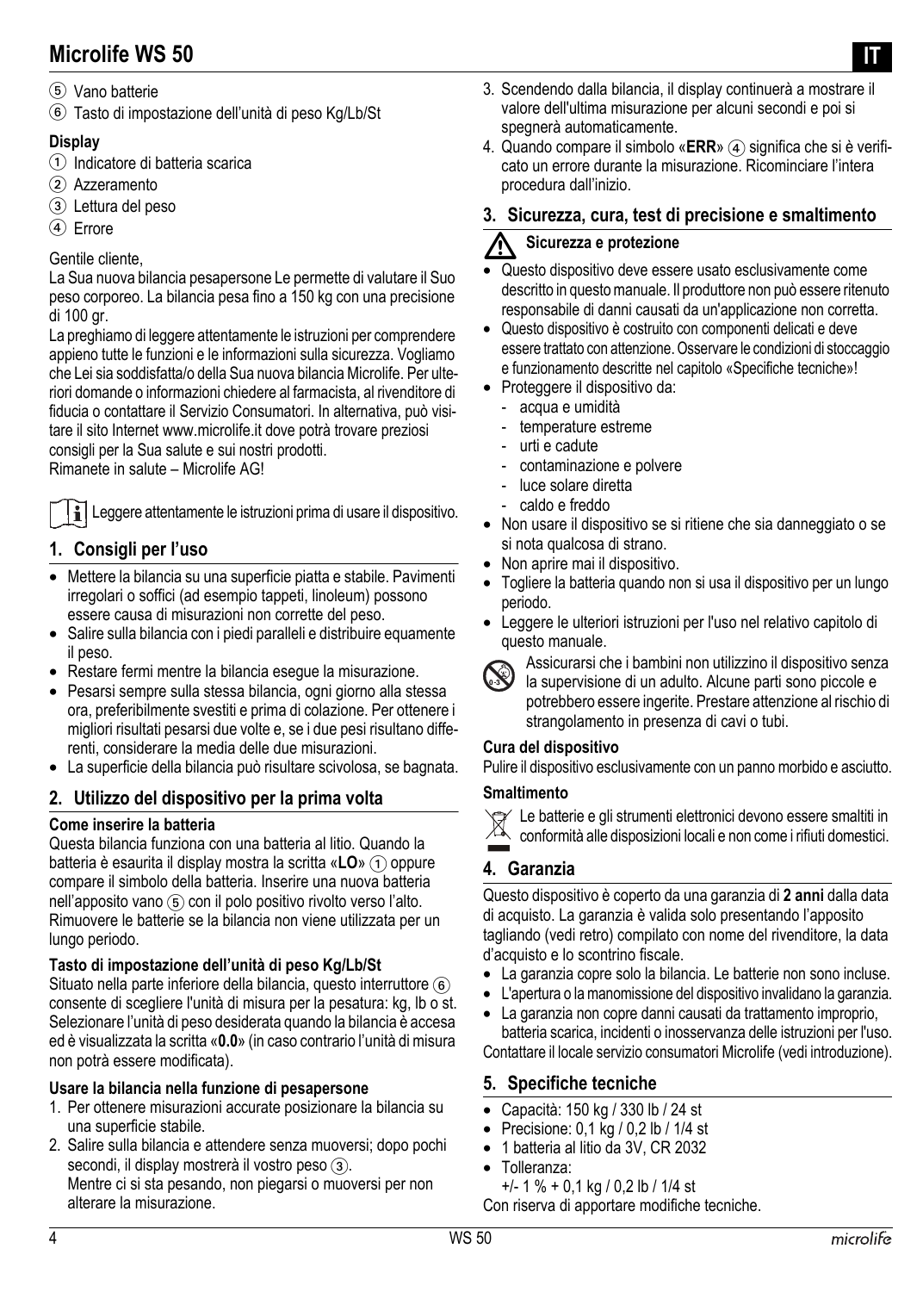- 5 Vano batterie
- 6 Tasto di impostazione dell'unità di peso Kg/Lb/St

#### **Display**

- 1 Indicatore di batteria scarica
- 2 Azzeramento
- 3 Lettura del peso
- (4) Errore

#### Gentile cliente,

La Sua nuova bilancia pesapersone Le permette di valutare il Suo peso corporeo. La bilancia pesa fino a 150 kg con una precisione di 100 gr.

La preghiamo di leggere attentamente le istruzioni per comprendere appieno tutte le funzioni e le informazioni sulla sicurezza. Vogliamo che Lei sia soddisfatta/o della Sua nuova bilancia Microlife. Per ulteriori domande o informazioni chiedere al farmacista, al rivenditore di fiducia o contattare il Servizio Consumatori. In alternativa, può visitare il sito Internet www.microlife.it dove potrà trovare preziosi consigli per la Sua salute e sui nostri prodotti.

Rimanete in salute – Microlife AG!

Leggere attentamente le istruzioni prima di usare il dispositivo.

#### **1. Consigli per l'uso**

- Mettere la bilancia su una superficie piatta e stabile. Pavimenti irregolari o soffici (ad esempio tappeti, linoleum) possono essere causa di misurazioni non corrette del peso.
- Salire sulla bilancia con i piedi paralleli e distribuire equamente il peso.
- Restare fermi mentre la bilancia esegue la misurazione.
- Pesarsi sempre sulla stessa bilancia, ogni giorno alla stessa ora, preferibilmente svestiti e prima di colazione. Per ottenere i migliori risultati pesarsi due volte e, se i due pesi risultano differenti, considerare la media delle due misurazioni.
- La superficie della bilancia può risultare scivolosa, se bagnata.

#### **2. Utilizzo del dispositivo per la prima volta**

#### **Come inserire la batteria**

Questa bilancia funziona con una batteria al litio. Quando la batteria è esaurita il display mostra la scritta «**LO**» (1) oppure compare il simbolo della batteria. Inserire una nuova batteria nell'apposito vano (5) con il polo positivo rivolto verso l'alto. Rimuovere le batterie se la bilancia non viene utilizzata per un lungo periodo.

#### **Tasto di impostazione dell'unità di peso Kg/Lb/St**

Situato nella parte inferiore della bilancia, questo interruttore 6 consente di scegliere l'unità di misura per la pesatura: kg, lb o st. Selezionare l'unità di peso desiderata quando la bilancia è accesa ed è visualizzata la scritta «**0.0**» (in caso contrario l'unità di misura non potrà essere modificata).

#### **Usare la bilancia nella funzione di pesapersone**

- 1. Per ottenere misurazioni accurate posizionare la bilancia su una superficie stabile.
- 2. Salire sulla bilancia e attendere senza muoversi; dopo pochi secondi, il display mostrerà il vostro peso  $(3)$ . Mentre ci si sta pesando, non piegarsi o muoversi per non alterare la misurazione.
- 3. Scendendo dalla bilancia, il display continuerà a mostrare il valore dell'ultima misurazione per alcuni secondi e poi si spegnerà automaticamente.
- 4. Quando compare il simbolo «**ERR**» (4) significa che si è verificato un errore durante la misurazione. Ricominciare l'intera procedura dall'inizio.

#### **3. Sicurezza, cura, test di precisione e smaltimento**

#### $\overline{\mathbb{V}}$ **Sicurezza e protezione**

- Questo dispositivo deve essere usato esclusivamente come descritto in questo manuale. Il produttore non può essere ritenuto responsabile di danni causati da un'applicazione non corretta.
- Questo dispositivo è costruito con componenti delicati e deve essere trattato con attenzione. Osservare le condizioni di stoccaggio e funzionamento descritte nel capitolo «Specifiche tecniche»!
- Proteggere il dispositivo da:
	- acqua e umidità
	- temperature estreme
	- urti e cadute
	- contaminazione e polvere
	- luce solare diretta
	- caldo e freddo
- Non usare il dispositivo se si ritiene che sia danneggiato o se si nota qualcosa di strano.
- Non aprire mai il dispositivo.
- Togliere la batteria quando non si usa il dispositivo per un lungo periodo.
- Leggere le ulteriori istruzioni per l'uso nel relativo capitolo di questo manuale.



Assicurarsi che i bambini non utilizzino il dispositivo senza la supervisione di un adulto. Alcune parti sono piccole e potrebbero essere ingerite. Prestare attenzione al rischio di strangolamento in presenza di cavi o tubi.

#### **Cura del dispositivo**

Pulire il dispositivo esclusivamente con un panno morbido e asciutto.

#### **Smaltimento**

Le batterie e gli strumenti elettronici devono essere smaltiti in

conformità alle disposizioni locali e non come i rifiuti domestici.

#### **4. Garanzia**

Questo dispositivo è coperto da una garanzia di **2 anni** dalla data di acquisto. La garanzia è valida solo presentando l'apposito tagliando (vedi retro) compilato con nome del rivenditore, la data d'acquisto e lo scontrino fiscale.

- La garanzia copre solo la bilancia. Le batterie non sono incluse.
- L'apertura o la manomissione del dispositivo invalidano la garanzia.
- La garanzia non copre danni causati da trattamento improprio,

batteria scarica, incidenti o inosservanza delle istruzioni per l'uso. Contattare il locale servizio consumatori Microlife (vedi introduzione).

#### **5. Specifiche tecniche**

- Capacità: 150 kg / 330 lb / 24 st
- Precisione: 0,1 kg / 0,2 lb / 1/4 st
- 1 batteria al litio da 3V, CR 2032
- Tolleranza:
- +/- 1 % + 0,1 kg / 0,2 lb / 1/4 st

Con riserva di apportare modifiche tecniche.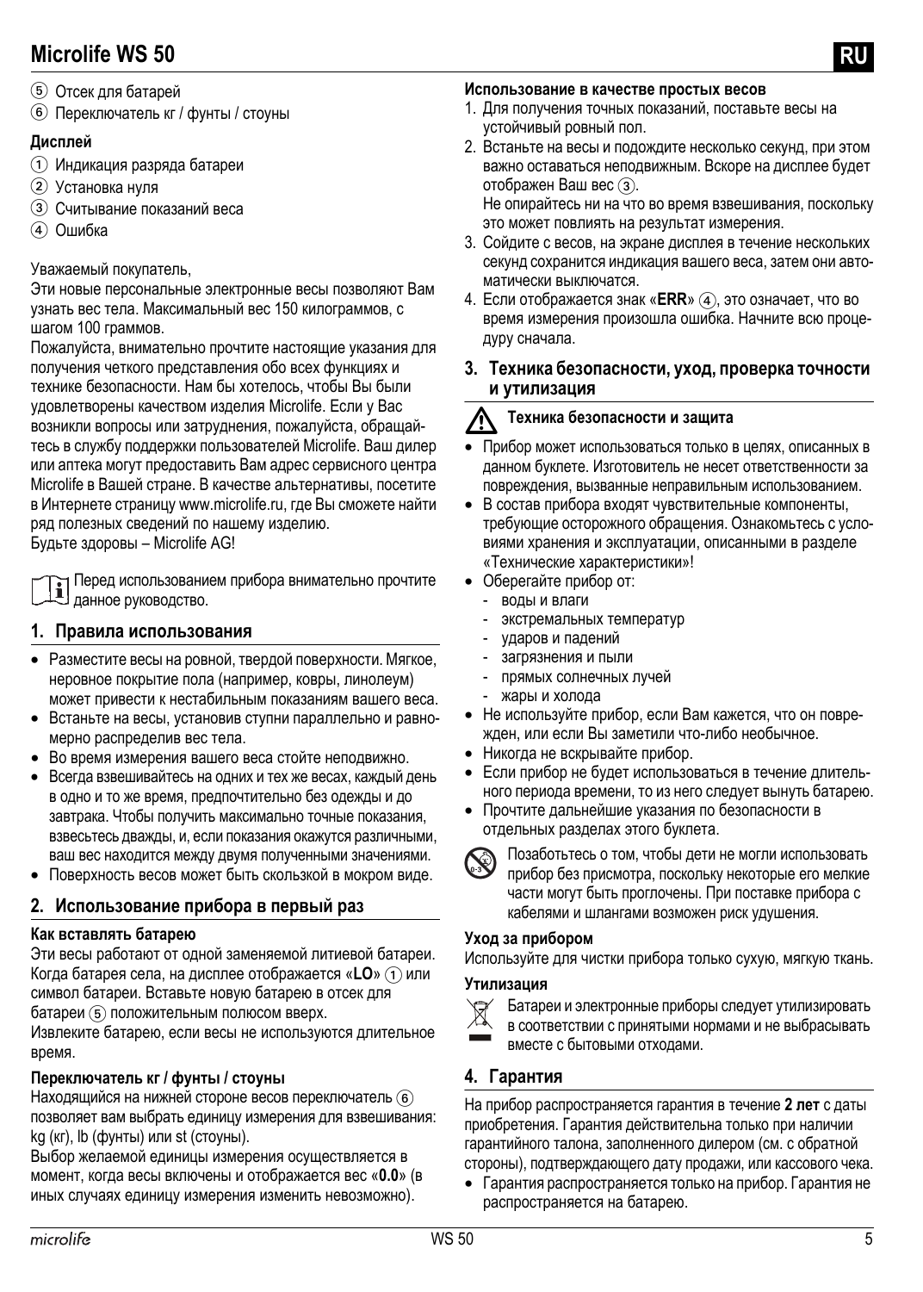- 5 Отсек для батарей
- 6 Переключатель кг / фунты / стоуны

#### **Дисплей**

- 1 Индикация разряда батареи
- 2 Установка нуля
- 3 Считывание показаний веса
- (4) Ошибка

#### Уважаемый покупатель,

Эти новые персональные электронные весы позволяют Вам узнать вес тела. Максимальный вес 150 килограммов, с шагом 100 граммов.

Пожалуйста, внимательно прочтите настоящие указания для получения четкого представления обо всех функциях и технике безопасности. Нам бы хотелось, чтобы Вы были удовлетворены качеством изделия Microlife. Если у Вас возникли вопросы или затруднения, пожалуйста, обращайтесь в службу поддержки пользователей Microlife. Ваш дилер или аптека могут предоставить Вам адрес сервисного центра Microlife в Вашей стране. В качестве альтернативы, посетите в Интернете страницу www.microlife.ru, где Вы сможете найти ряд полезных сведений по нашему изделию.

Будьте здоровы – Microlife AG!

Перед использованием прибора внимательно прочтите данное руководство.

#### **1. Правила использования**

- Разместите весы на ровной, твердой поверхности. Мягкое, неровное покрытие пола (например, ковры, линолеум) может привести к нестабильным показаниям вашего веса.
- Встаньте на весы, установив ступни параллельно и равномерно распределив вес тела.
- Во время измерения вашего веса стойте неподвижно.
- Всегда взвешивайтесь на одних и тех же весах, каждый день в одно и то же время, предпочтительно без одежды и до завтрака. Чтобы получить максимально точные показания, взвесьтесь дважды, и, если показания окажутся различными, ваш вес находится между двумя полученными значениями.
- Поверхность весов может быть скользкой в мокром виде.

#### **2. Использование прибора в первый раз**

#### **Как вставлять батарею**

Эти весы работают от одной заменяемой литиевой батареи. Когда батарея села, на дисплее отображается «LO» (1) или символ батареи. Вставьте новую батарею в отсек для батареи 5 положительным полюсом вверх.

Извлеките батарею, если весы не используются длительное время.

#### **Переключатель кг / фунты / стоуны**

Находящийся на нижней стороне весов переключатель 6 позволяет вам выбрать единицу измерения для взвешивания: kg (кг), lb (фунты) или st (стоуны).

Выбор желаемой единицы измерения осуществляется в момент, когда весы включены и отображается вес «**0.0**» (в иных случаях единицу измерения изменить невозможно).

#### **Использование в качестве простых весов**

- 1. Для получения точных показаний, поставьте весы на устойчивый ровный пол.
- 2. Встаньте на весы и подождите несколько секунд, при этом важно оставаться неподвижным. Вскоре на дисплее будет отображен Ваш вес  $\circled3$ .

Не опирайтесь ни на что во время взвешивания, поскольку это может повлиять на результат измерения.

- 3. Сойдите с весов, на экране дисплея в течение нескольких секунд сохранится индикация вашего веса, затем они автоматически выключатся.
- 4. Если отображается знак «ERR» (4), это означает, что во время измерения произошла ошибка. Начните всю процедуру сначала.
- **3. Техника безопасности, уход, проверка точности и утилизация**

#### $\overline{\mathbb{V}}$ **Техника безопасности <sup>и</sup> защита**

- Прибор может использоваться только в целях, описанных в данном буклете. Изготовитель не несет ответственности за повреждения, вызванные неправильным использованием.
- В состав прибора входят чувствительные компоненты, требующие осторожного обращения. Ознакомьтесь с условиями хранения и эксплуатации, описанными в разделе «Технические [характеристики](#page-5-0)»!
- Оберегайте прибор от:
	- воды и влаги
	- экстремальных температур
	- ударов и падений
	- загрязнения и пыли
	- прямых солнечных лучей
	- жары и холода
- Не используйте прибор, если Вам кажется, что он поврежден, или если Вы заметили что-либо необычное.
- Никогда не вскрывайте прибор.
- Если прибор не будет использоваться в течение длительного периода времени, то из него следует вынуть батарею.
- Прочтите дальнейшие указания по безопасности в отдельных разделах этого буклета.



Позаботьтесь о том, чтобы дети не могли использовать прибор без присмотра, поскольку некоторые его мелкие части могут быть проглочены. При поставке прибора с кабелями и шлангами возможен риск удушения.

#### **Уход за прибором**

Используйте для чистки прибора только сухую, мягкую ткань.

#### **Утилизация**

Батареи и электронные приборы следует утилизировать

 $\widehat{\mathbb{X}}$ 

в соответствии с принятыми нормами и не выбрасывать

вместе с бытовыми отходами.

#### **4. Гарантия**

На прибор распространяется гарантия в течение **2 лет** с даты приобретения. Гарантия действительна только при наличии гарантийного талона, заполненного дилером (см. с обратной стороны), подтверждающего дату продажи, или кассового чека.

• Гарантия распространяется только на прибор. Гарантия не распространяется на батарею.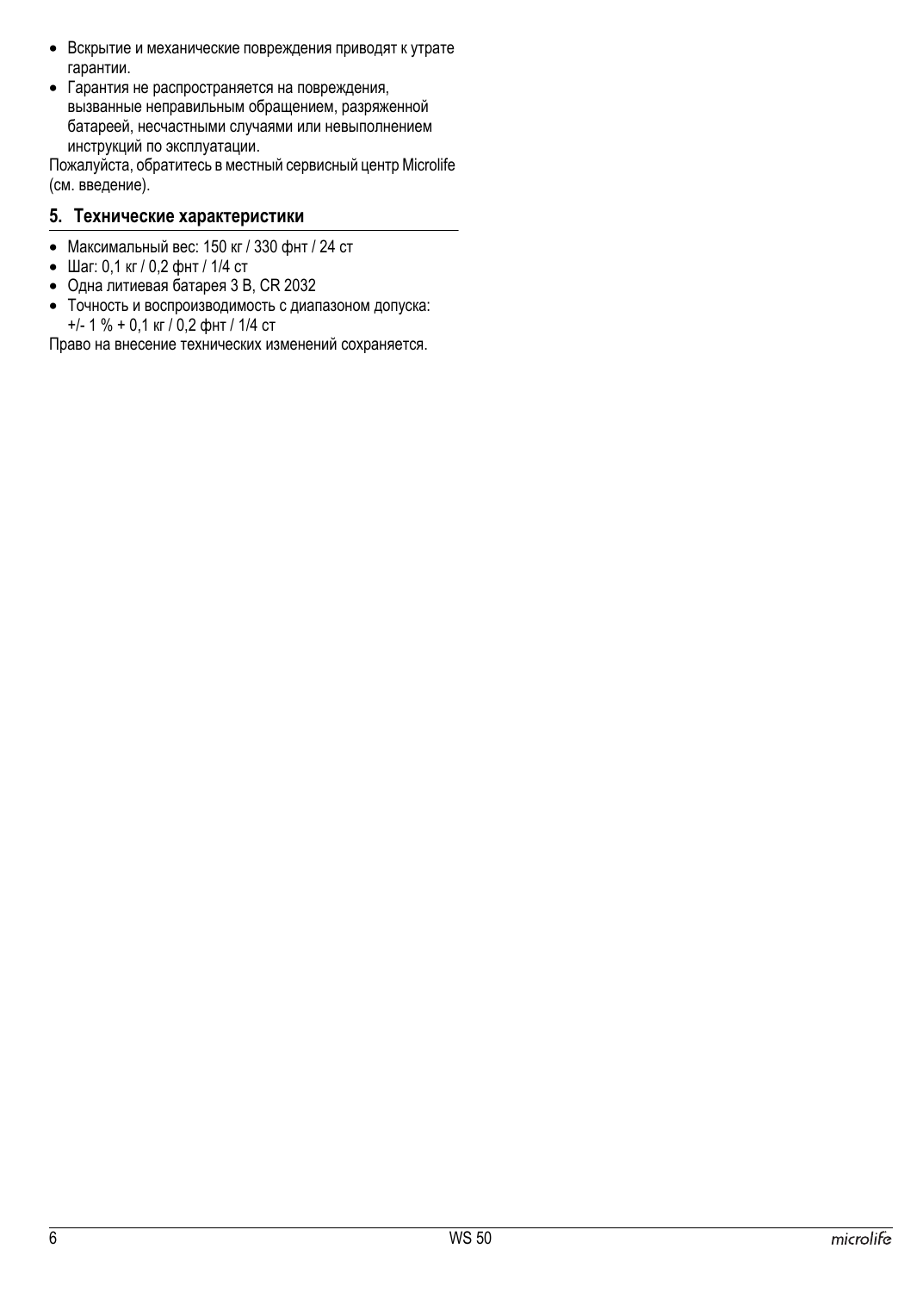- Вскрытие и механические повреждения приводят к утрате гарантии.
- Гарантия не распространяется на повреждения, вызванные неправильным обращением, разряженной батареей, несчастными случаями или невыполнением инструкций по эксплуатации.

Пожалуйста, обратитесь в местный сервисный центр Microlife (см. введение).

#### <span id="page-5-0"></span>**5. Технические характеристики**

- Максимальный вес: 150 кг / 330 фнт / 24 ст
- Шаг: 0,1 кг / 0,2 фнт / 1/4 ст
- Одна литиевая батарея 3 В, CR 2032
- Точность и воспроизводимость с диапазоном допуска: +/- 1 % + 0,1 кг / 0,2 фнт / 1/4 ст

Право на внесение технических изменений сохраняется.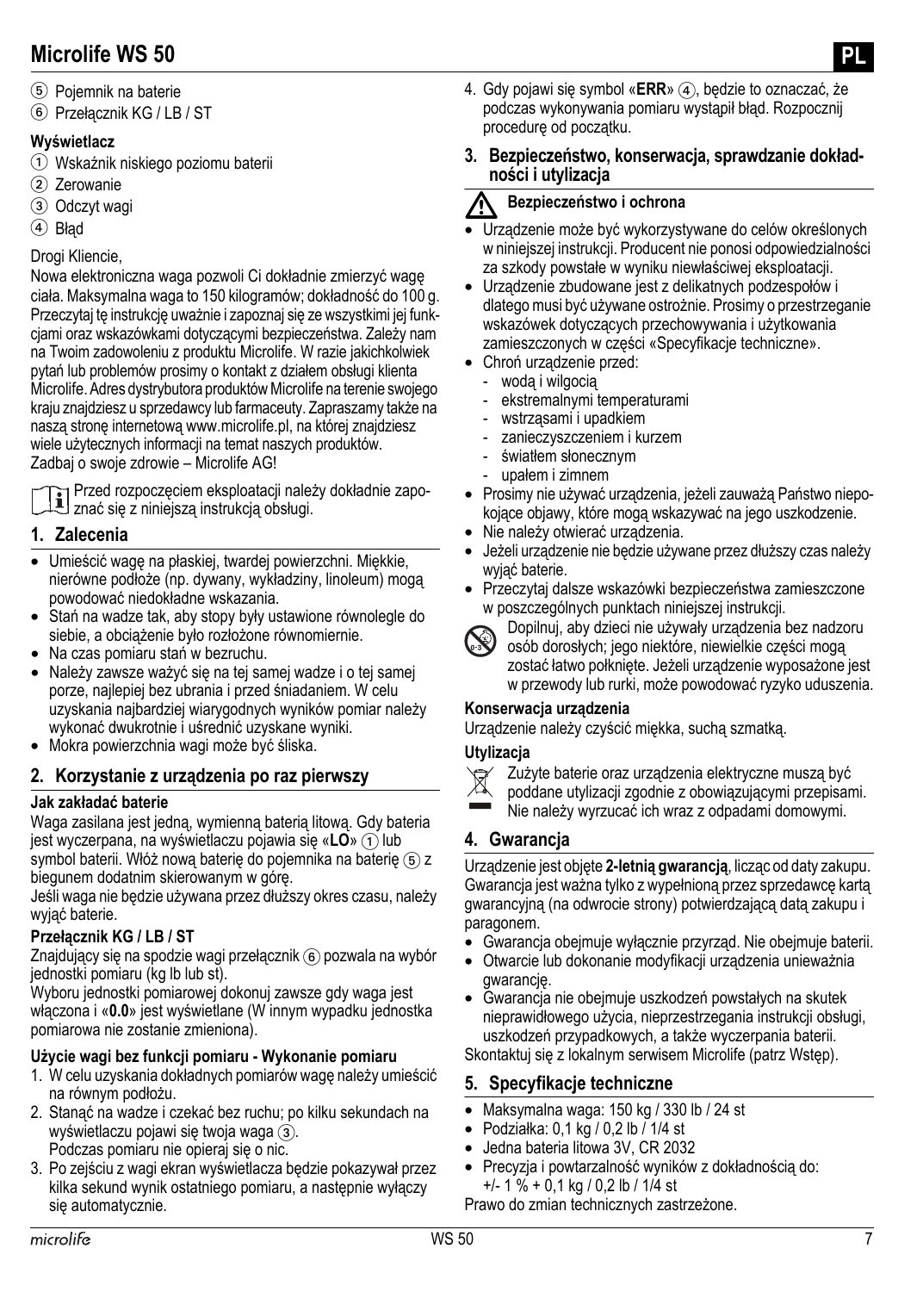- 5 Pojemnik na baterie
- 6 Przełącznik KG / LB / ST

#### **Wyświetlacz**

- 1 Wskaźnik niskiego poziomu baterii
- 2 Zerowanie
- 3 Odczyt wagi
- $(4)$  Bład

#### Drogi Kliencie,

Nowa elektroniczna waga pozwoli Ci dokładnie zmierzyć wagę ciała. Maksymalna waga to 150 kilogramów; dokładność do 100 g. Przeczytaj tę instrukcję uważnie i zapoznaj się ze wszystkimi jej funkcjami oraz wskazówkami dotyczącymi bezpieczeństwa. Zależy nam na Twoim zadowoleniu z produktu Microlife. W razie jakichkolwiek pytań lub problemów prosimy o kontakt z działem obsługi klienta Microlife. Adres dystrybutora produktów Microlife na terenie swojego kraju znajdziesz u sprzedawcy lub farmaceuty. Zapraszamy także na naszą stronę internetową www.microlife.pl, na której znajdziesz wiele użytecznych informacji na temat naszych produktów. Zadbaj o swoje zdrowie – Microlife AG!



Przed rozpoczęciem eksploatacji należy dokładnie zapoznać się z niniejszą instrukcją obsługi.<br>Znać się z niniejszą instrukcją obsługi.

#### **1. Zalecenia**

- Umieścić wagę na płaskiej, twardej powierzchni. Miękkie, nierówne podłoże (np. dywany, wykładziny, linoleum) mogą powodować niedokładne wskazania.
- Stań na wadze tak, aby stopy były ustawione równolegle do siebie, a obciążenie było rozłożone równomiernie.
- Na czas pomiaru stań w bezruchu.
- Należy zawsze ważyć się na tej samej wadze i o tej samej porze, najlepiej bez ubrania i przed śniadaniem. W celu uzyskania najbardziej wiarygodnych wyników pomiar należy wykonać dwukrotnie i uśrednić uzyskane wyniki.
- Mokra powierzchnia wagi może być śliska.

#### **2. Korzystanie z urządzenia po raz pierwszy**

#### **Jak zakładać baterie**

Waga zasilana jest jedną, wymienną baterią litową. Gdy bateria jest wyczerpana, na wyświetlaczu pojawia się «LO» (1) lub symbol baterii. Włóż nową baterię do pojemnika na baterię (5) z biegunem dodatnim skierowanym w górę.

Jeśli waga nie będzie używana przez dłuższy okres czasu, należy wyjąć baterie.

#### **Przełącznik KG / LB / ST**

Znajdujący się na spodzie wagi przełącznik (6) pozwala na wybór jednostki pomiaru (kg lb lub st).

Wyboru jednostki pomiarowej dokonuj zawsze gdy waga jest włączona i «**0.0**» jest wyświetlane (W innym wypadku jednostka pomiarowa nie zostanie zmieniona).

# **Użycie wagi bez funkcji pomiaru - Wykonanie pomiaru**

- 1. W celu uzyskania dokładnych pomiarów wagę należy umieścić na równym podłożu.
- 2. Stanąć na wadze i czekać bez ruchu; po kilku sekundach na wyświetlaczu pojawi się twoja waga (3). Podczas pomiaru nie opieraj się o nic.
- 3. Po zejściu z wagi ekran wyświetlacza będzie pokazywał przez kilka sekund wynik ostatniego pomiaru, a następnie wyłączy się automatycznie.

4. Gdy pojawi się symbol «**ERR**» (4), będzie to oznaczać, że podczas wykonywania pomiaru wystąpił błąd. Rozpocznij procedurę od początku.

#### **3. Bezpieczeństwo, konserwacja, sprawdzanie dokładności i utylizacja**

#### **Bezpieczeństwo i ochrona**

- A Bezpieczeństwo i ochrona<br>• Urządzenie może być wykorzystywane do celów określonych w niniejszej instrukcji. Producent nie ponosi odpowiedzialności za szkody powstałe w wyniku niewłaściwej eksploatacji.
- Urządzenie zbudowane jest z delikatnych podzespołów i dlatego musi być używane ostrożnie. Prosimy o przestrzeganie wskazówek dotyczących przechowywania i użytkowania zamieszczonych w części «Specyfikacje techniczne».
- Chroń urządzenie przed:
	- wodą i wilgocią
	- ekstremalnymi temperaturami
	- wstrząsami i upadkiem
	- zanieczyszczeniem i kurzem
	- światłem słonecznym
	- upałem i zimnem
- Prosimy nie używać urządzenia, jeżeli zauważą Państwo niepokojące objawy, które mogą wskazywać na jego uszkodzenie.
- Nie należy otwierać urządzenia.
- Jeżeli urządzenie nie będzie używane przez dłuższy czas należy wyjąć baterie.
- Przeczytaj dalsze wskazówki bezpieczeństwa zamieszczone w poszczególnych punktach niniejszej instrukcji.



Dopilnuj, aby dzieci nie używały urządzenia bez nadzoru osób dorosłych; jego niektóre, niewielkie części mogą zostać łatwo połknięte. Jeżeli urządzenie wyposażone jest w przewody lub rurki, może powodować ryzyko uduszenia.

#### **Konserwacja urządzenia**

Urządzenie należy czyścić miękka, suchą szmatką.

#### **Utylizacja**



Zużyte baterie oraz urządzenia elektryczne muszą być

poddane utylizacji zgodnie z obowiązującymi przepisami.

Nie należy wyrzucać ich wraz z odpadami domowymi.

#### **4. Gwarancja**

Urządzenie jest objęte **2-letnią gwarancją**, licząc od daty zakupu. Gwarancja jest ważna tylko z wypełnioną przez sprzedawcę kartą gwarancyjną (na odwrocie strony) potwierdzającą datą zakupu i paragonem.

- Gwarancja obejmuje wyłącznie przyrząd. Nie obejmuje baterii.
- Otwarcie lub dokonanie modyfikacji urządzenia unieważnia gwarancję.
- Gwarancja nie obejmuje uszkodzeń powstałych na skutek nieprawidłowego użycia, nieprzestrzegania instrukcji obsługi, uszkodzeń przypadkowych, a także wyczerpania baterii.

Skontaktuj się z lokalnym serwisem Microlife (patrz Wstęp).

# **5. Specyfikacje techniczne**

- Maksymalna waga: 150 kg / 330 lb / 24 st
- Podziałka: 0,1 kg / 0,2 lb / 1/4 st
- Jedna bateria litowa 3V, CR 2032
- Precyzja i powtarzalność wyników z dokładnością do:  $+/- 1 \% + 0.1$  kg / 0.2 lb / 1/4 st

Prawo do zmian technicznych zastrzeżone.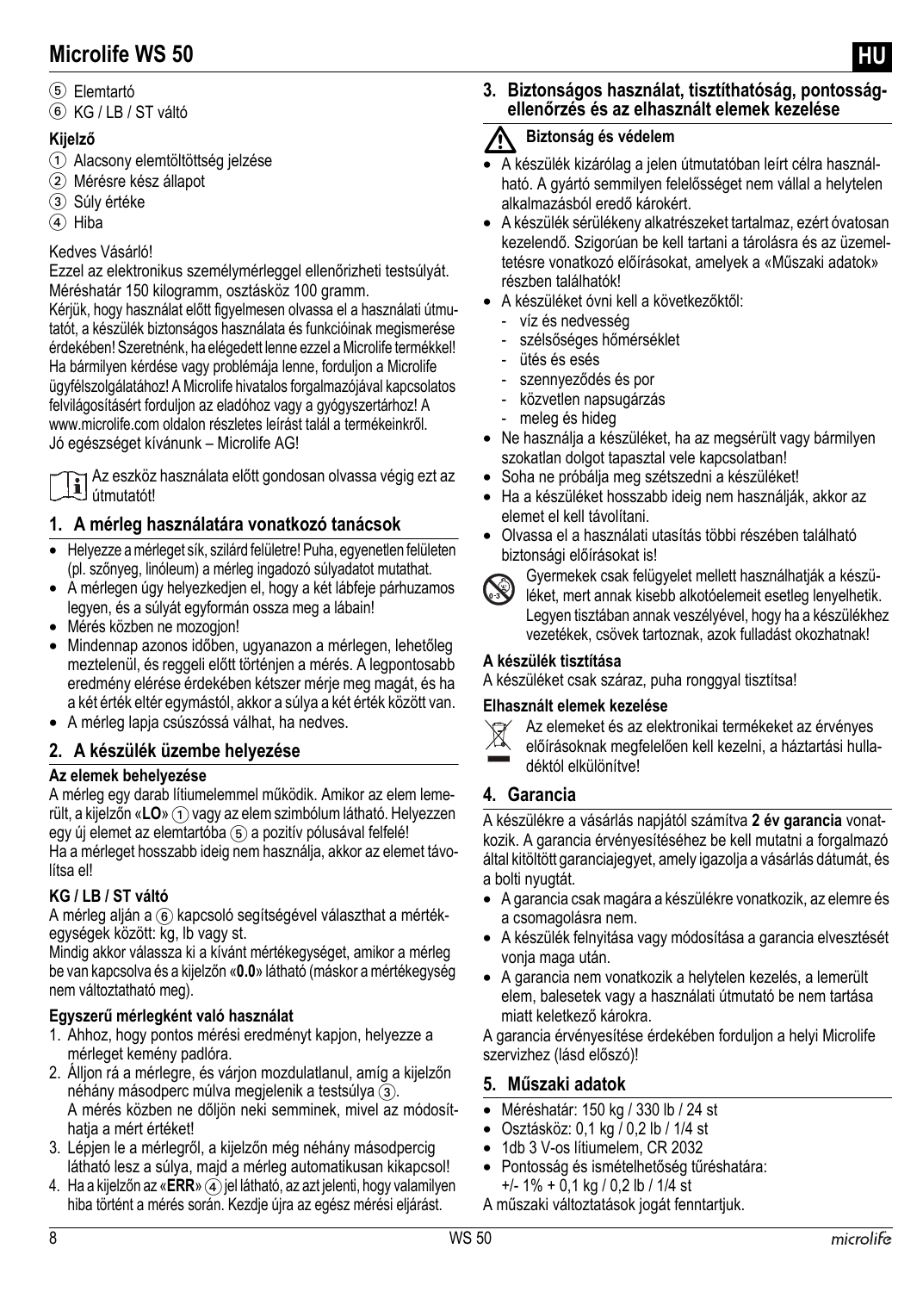$6$  KG / IB / ST váltó

#### **Kijelző**

- 1 Alacsony elemtöltöttség jelzése
- 2 Mérésre kész állapot
- 3 Súly értéke
- $(4)$  Hiba

#### Kedves Vásárló!

Ezzel az elektronikus személymérleggel ellenőrizheti testsúlyát. Méréshatár 150 kilogramm, osztásköz 100 gramm.

Kérjük, hogy használat előtt figyelmesen olvassa el a használati útmutatót, a készülék biztonságos használata és funkcióinak megismerése érdekében! Szeretnénk, ha elégedett lenne ezzel a Microlife termékkel! Ha bármilyen kérdése vagy problémája lenne, forduljon a Microlife ügyfélszolgálatához! A Microlife hivatalos forgalmazójával kapcsolatos felvilágosításért forduljon az eladóhoz vagy a gyógyszertárhoz! A www.microlife.com oldalon részletes leírást talál a termékeinkről. Jó egészséget kívánunk – Microlife AG!

Az eszköz használata előtt gondosan olvassa végig ezt az útmutatót!

#### **1. A mérleg használatára vonatkozó tanácsok**

- Helyezze a mérleget sík, szilárd felületre! Puha, egyenetlen felületen (pl. szőnyeg, linóleum) a mérleg ingadozó súlyadatot mutathat.
- A mérlegen úgy helyezkedjen el, hogy a két lábfeje párhuzamos legyen, és a súlyát egyformán ossza meg a lábain!
- Mérés közben ne mozogjon!
- Mindennap azonos időben, ugyanazon a mérlegen, lehetőleg meztelenül, és reggeli előtt történjen a mérés. A legpontosabb eredmény elérése érdekében kétszer mérje meg magát, és ha a két érték eltér egymástól, akkor a súlya a két érték között van.
- A mérleg lapja csúszóssá válhat, ha nedves.

#### **2. A készülék üzembe helyezése**

#### **Az elemek behelyezése**

A mérleg egy darab lítiumelemmel működik. Amikor az elem lemerült, a kijelzőn «LO» (1) vagy az elem szimbólum látható. Helyezzen egy új elemet az elemtartóba (5) a pozitív pólusával felfelé!

Ha a mérleget hosszabb ideig nem használja, akkor az elemet távolítsa el!

#### **KG / LB / ST váltó**

A mérleg alján a ® kapcsoló segítségével választhat a mértékegységek között: kg, lb vagy st.

Mindig akkor válassza ki a kívánt mértékegységet, amikor a mérleg be van kapcsolva és a kijelzőn «**0.0**» látható (máskor a mértékegység nem változtatható meg).

#### **Egyszerű mérlegként való használat**

- 1. Ahhoz, hogy pontos mérési eredményt kapjon, helyezze a mérleget kemény padlóra.
- 2. Álljon rá a mérlegre, és várjon mozdulatlanul, amíg a kijelzőn néhány másodperc múlva megjelenik a testsúlya 3. A mérés közben ne dőljön neki semminek, mivel az módosíthatja a mért értéket!
- 3. Lépjen le a mérlegről, a kijelzőn még néhány másodpercig látható lesz a súlya, majd a mérleg automatikusan kikapcsol!
- 4. Ha a kijelzőn az «**ERR**» (4) jel látható, az azt jelenti, hogy valamilyen hiba történt a mérés során. Kezdje újra az egész mérési eljárást.

**3. Biztonságos használat, tisztíthatóság, pontosságellenőrzés és az elhasznált elemek kezelése**

#### ハ **Biztonság és védelem**

- A készülék kizárólag a jelen útmutatóban leírt célra használható. A gyártó semmilyen felelősséget nem vállal a helytelen alkalmazásból eredő károkért.
- A készülék sérülékeny alkatrészeket tartalmaz, ezért óvatosan kezelendő. Szigorúan be kell tartani a tárolásra és az üzemeltetésre vonatkozó előírásokat, amelyek a «Műszaki adatok» részben találhatók!
- A készüléket óvni kell a következőktől:
	- víz és nedvesség
	- szélsőséges hőmérséklet
	- ütés és esés
	- szennyeződés és por
	- közvetlen napsugárzás
	- meleg és hideg
- Ne használja a készüléket, ha az megsérült vagy bármilyen szokatlan dolgot tapasztal vele kapcsolatban!
- Soha ne próbálja meg szétszedni a készüléket!
- Ha a készüléket hosszabb ideig nem használják, akkor az elemet el kell távolítani.
- Olvassa el a használati utasítás többi részében található biztonsági előírásokat is!



Gyermekek csak felügyelet mellett használhatják a készüléket, mert annak kisebb alkotóelemeit esetleg lenyelhetik. Legyen tisztában annak veszélyével, hogy ha a készülékhez vezetékek, csövek tartoznak, azok fulladást okozhatnak!

#### **A készülék tisztítása**

A készüléket csak száraz, puha ronggyal tisztítsa!

#### **Elhasznált elemek kezelése**

- Az elemeket és az elektronikai termékeket az érvényes
- előírásoknak megfelelően kell kezelni, a háztartási hulladéktól elkülönítve!

#### **4. Garancia**

A készülékre a vásárlás napjától számítva **2 év garancia** vonatkozik. A garancia érvényesítéséhez be kell mutatni a forgalmazó által kitöltött garanciajegyet, amely igazolja a vásárlás dátumát, és a bolti nyugtát.

- A garancia csak magára a készülékre vonatkozik, az elemre és a csomagolásra nem.
- A készülék felnyitása vagy módosítása a garancia elvesztését vonja maga után.
- A garancia nem vonatkozik a helytelen kezelés, a lemerült elem, balesetek vagy a használati útmutató be nem tartása miatt keletkező károkra.

A garancia érvényesítése érdekében forduljon a helyi Microlife szervizhez (lásd előszó)!

#### **5. Műszaki adatok**

- Méréshatár: 150 kg / 330 lb / 24 st
- $\bullet$  Osztásköz: 0,1 kg  $\overline{0}$ ,2 lb / 1/4 st
- 1db 3 V-os lítiumelem, CR 2032
- Pontosság és ismételhetőség tűréshatára: +/- 1% + 0,1 kg / 0,2 lb / 1/4 st
- A műszaki változtatások jogát fenntartjuk.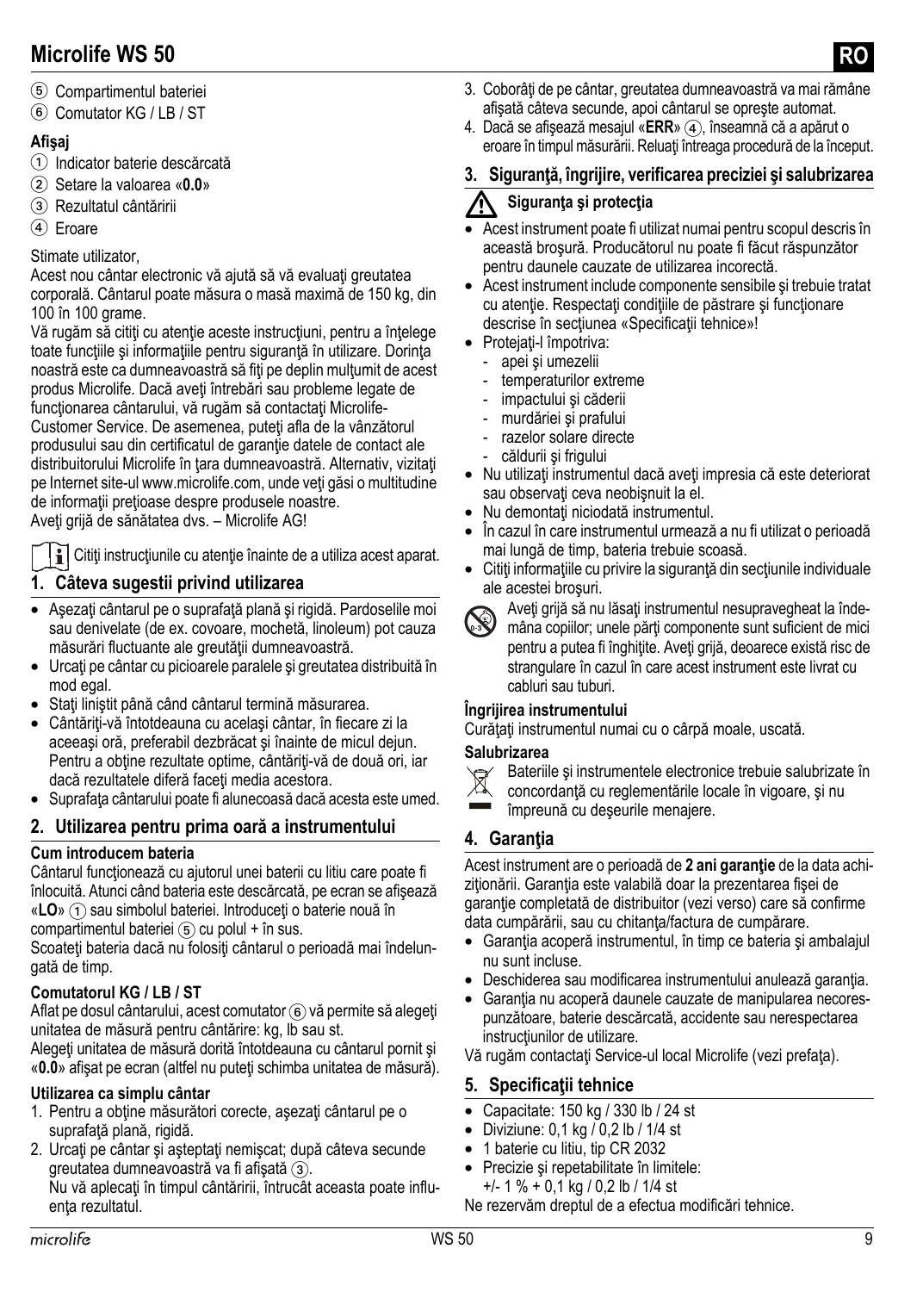- 5 Compartimentul bateriei
- 6 Comutator KG / LB / ST

#### **Afişaj**

- 1 Indicator baterie descărcată
- 2 Setare la valoarea «**0.0**»
- 3 Rezultatul cântăririi
- 4 Eroare

#### Stimate utilizator,

Acest nou cântar electronic vă ajută să vă evaluați greutatea corporală. Cântarul poate măsura o masă maximă de 150 kg, din 100 în 100 grame.

Vă rugăm să cititi cu atenție aceste instrucțiuni, pentru a înțelege toate funcțiile și informațiile pentru siguranță în utilizare. Dorința noastră este ca dumneavoastră să fiţi pe deplin mulţumit de acest produs Microlife. Dacă aveți întrebări sau probleme legate de functionarea cântarului, vă rugăm să contactați Microlife-Customer Service. De asemenea, puteți afla de la vânzătorul produsului sau din certificatul de garanție datele de contact ale distribuitorului Microlife în tara dumneavoastră. Alternativ, vizitati pe Internet site-ul www.microlife.com, unde veti găsi o multitudine de informatii pretioase despre produsele noastre.

Aveti grijă de sănătatea dvs. – Microlife AG!

i Citiți instrucțiunile cu atenție înainte de a utiliza acest aparat.

#### **1. Câteva sugestii privind utilizarea**

- Aşezaţi cântarul pe o suprafaţă plană şi rigidă. Pardoselile moi sau denivelate (de ex. covoare, mochetă, linoleum) pot cauza măsurări fluctuante ale greutății dumneavoastră.
- Urcaţi pe cântar cu picioarele paralele şi greutatea distribuită în mod egal.
- Staţi liniştit până când cântarul termină măsurarea.
- Cântăriți-vă întotdeauna cu același cântar, în fiecare zi la aceeaşi oră, preferabil dezbrăcat şi înainte de micul dejun. Pentru a obtine rezultate optime, cântăriți-vă de două ori, iar dacă rezultatele diferă faceți media acestora.
- Suprafaţa cântarului poate fi alunecoasă dacă acesta este umed.

#### **2. Utilizarea pentru prima oară a instrumentului**

#### **Cum introducem bateria**

Cântarul functionează cu ajutorul unei baterii cu litiu care poate fi înlocuită. Atunci când bateria este descărcată, pe ecran se afişează «LO» (1) sau simbolul bateriei. Introduceți o baterie nouă în compartimentul bateriei  $(5)$  cu polul + în sus.

Scoateti bateria dacă nu folositi cântarul o perioadă mai îndelungată de timp.

#### **Comutatorul KG / LB / ST**

Aflat pe dosul cântarului, acest comutator 6 vă permite să alegeți unitatea de măsură pentru cântărire: kg, lb sau st.

Alegeți unitatea de măsură dorită întotdeauna cu cântarul pornit și «**0.0**» afişat pe ecran (altfel nu puteţi schimba unitatea de măsură).

#### **Utilizarea ca simplu cântar**

- 1. Pentru a obține măsurători corecte, așezați cântarul pe o suprafată plană, rigidă.
- 2. Urcaţi pe cântar şi aşteptaţi nemişcat; după câteva secunde greutatea dumneavoastră va fi afișată (3).

Nu vă aplecaţi în timpul cântăririi, întrucât aceasta poate influenta rezultatul.

- 3. Coborâţi de pe cântar, greutatea dumneavoastră va mai rămâne afişată câteva secunde, apoi cântarul se opreşte automat.
- 4. Dacă se afişează mesajul «**ERR**» 4, înseamnă că a apărut o eroare în timpul măsurării. Reluați întreaga procedură de la început.

#### **3. Siguranţă, îngrijire, verificarea preciziei şi salubrizarea**

#### **Siguranţa şi protecţia**

- 1. Siguranța și protecția<br>• Acest instrument poate fi utilizat numai pentru scopul descris în această broşură. Producătorul nu poate fi făcut răspunzător pentru daunele cauzate de utilizarea incorectă.
- Acest instrument include componente sensibile si trebuie tratat cu atentie. Respectati conditiile de păstrare și functionare descrise în secțiunea [«Specifica](#page-8-0)ții tehnice»!
- Proteiati-l împotriva:
	- apei și umezelii
	- temperaturilor extreme
	- impactului și căderii
	- murdăriei și prafului
	- razelor solare directe
	- căldurii și frigului
- Nu utilizaţi instrumentul dacă aveţi impresia că este deteriorat sau observați ceva neobișnuit la el.
- Nu demontați niciodată instrumentul
- În cazul în care instrumentul urmează a nu fi utilizat o perioadă mai lungă de timp, bateria trebuie scoasă.
- Citiţi informaţiile cu privire la siguranţă din secţiunile individuale ale acestei broşuri.



Aveți grijă să nu lăsați instrumentul nesupravegheat la înde-

mâna copiilor; unele părţi componente sunt suficient de mici pentru a putea fi înghiţite. Aveţi grijă, deoarece există risc de strangulare în cazul în care acest instrument este livrat cu cabluri sau tuburi.

#### **Îngrijirea instrumentului**

Curățați instrumentul numai cu o cârpă moale, uscată.

#### **Salubrizarea**



- Bateriile şi instrumentele electronice trebuie salubrizate în
- concordantă cu reglementările locale în vigoare, și nu
- împreună cu deşeurile menajere.

#### **4. Garanţia**

Acest instrument are o perioadă de **2 ani garanţie** de la data achiziționării. Garanția este valabilă doar la prezentarea fișei de garantie completată de distribuitor (vezi verso) care să confirme data cumpărării, sau cu chitanța/factura de cumpărare.

- Garanția acoperă instrumentul, în timp ce bateria și ambalajul nu sunt incluse.
- Deschiderea sau modificarea instrumentului anulează garanţia.
- Garanția nu acoperă daunele cauzate de manipularea necorespunzătoare, baterie descărcată, accidente sau nerespectarea instructiunilor de utilizare.

Vă rugăm contactaţi Service-ul local Microlife (vezi prefaţa).

#### <span id="page-8-0"></span>**5. Specificaţii tehnice**

- Capacitate: 150 kg / 330 lb / 24 st
- Diviziune:  $0.1$  kg  $/0.2$  lb  $/1/4$  st
- 1 baterie cu litiu, tip CR 2032
- Precizie şi repetabilitate în limitele:
- +/- 1 % + 0,1 kg / 0,2 lb / 1/4 st

Ne rezervăm dreptul de a efectua modificări tehnice.